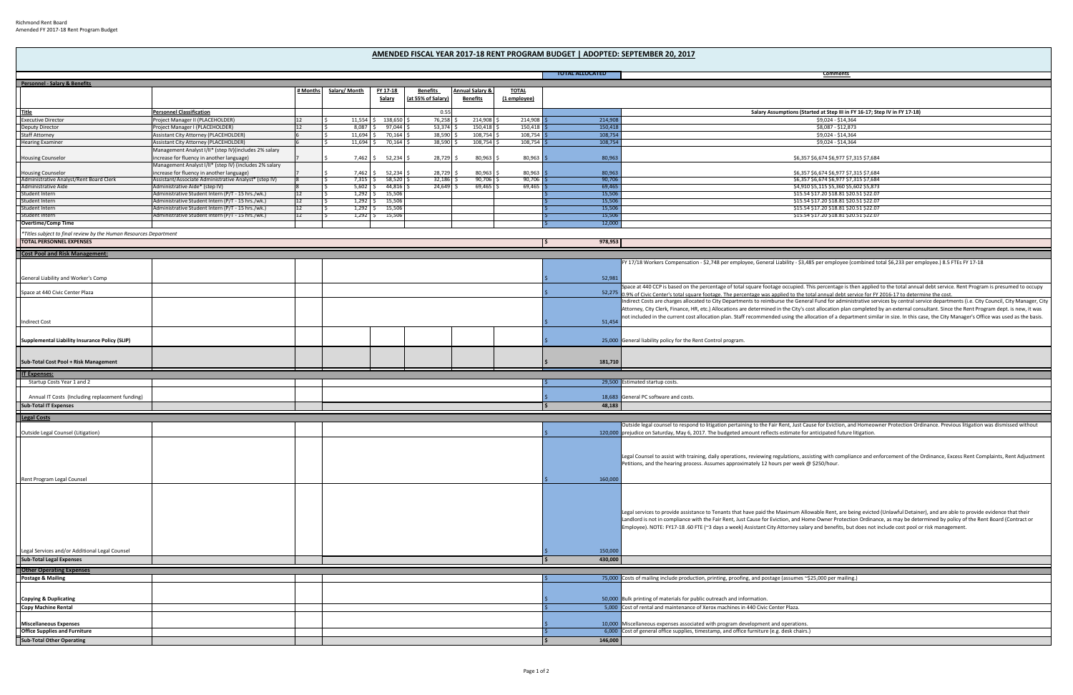|                                                                     |                                                                                                     |          |               |                              |                   |                            |              | <b>TOTAL ALLOCATED</b> | <b>Comments</b>                                                                                                                                                                          |
|---------------------------------------------------------------------|-----------------------------------------------------------------------------------------------------|----------|---------------|------------------------------|-------------------|----------------------------|--------------|------------------------|------------------------------------------------------------------------------------------------------------------------------------------------------------------------------------------|
| Personnel - Salary & Benefits                                       |                                                                                                     |          |               |                              |                   |                            |              |                        |                                                                                                                                                                                          |
|                                                                     |                                                                                                     | # Months | Salary/ Month | <b>FY 17-18</b>              | <b>Benefits</b>   | <b>Annual Salary &amp;</b> | <u>TOTAL</u> |                        |                                                                                                                                                                                          |
|                                                                     |                                                                                                     |          |               | <u>Salary</u>                | at 55% of Salary) | <u>Benefits</u>            | (1 employee) |                        |                                                                                                                                                                                          |
|                                                                     |                                                                                                     |          |               |                              |                   |                            |              |                        |                                                                                                                                                                                          |
| Title                                                               | <b>Personnel Classification</b>                                                                     |          |               |                              | 0.55              |                            |              |                        | Salary Assumptions (Started at Step III in FY 16-17; Step IV in FY 17-18)                                                                                                                |
| <b>Executive Director</b>                                           | Project Manager II (PLACEHOLDER)                                                                    |          |               | 11,554 \$ 138,650            | 76,258            | 214,908                    | 214,908      | 214,908                | \$9,024 - \$14,364                                                                                                                                                                       |
| <b>Deputy Director</b>                                              | Project Manager I (PLACEHOLDER)                                                                     |          | 8,087         | 97,044 \$                    | 53,374            | 150,418                    | 150,418      | 150,418                | \$8,087 - \$12,873                                                                                                                                                                       |
| <b>Staff Attorney</b>                                               | Assistant City Attorney (PLACEHOLDER)                                                               |          | 11,694 \$     | 70,164 \$                    | 38,590            | 108,754                    | $108,754$ :  | 108,754                | \$9,024 - \$14,364                                                                                                                                                                       |
| <b>Hearing Examiner</b>                                             | Assistant City Attorney (PLACEHOLDER)                                                               |          | 11,694 \$     | 70,164                       | 38,590            | 108,754                    | 108,754      | 108,754                | \$9,024 - \$14,364                                                                                                                                                                       |
|                                                                     | Management Analyst I/II* (step IV)(includes 2% salary                                               |          |               |                              |                   |                            |              |                        |                                                                                                                                                                                          |
| <b>Housing Counselor</b>                                            | increase for fluency in another language)<br>Management Analyst I/II* (step IV) (includes 2% salary |          |               | 7,462 \$ 52,234              | 28,729            | 80,963                     | 80,963       | 80,963                 | \$6,357 \$6,674 \$6,977 \$7,315 \$7,684                                                                                                                                                  |
|                                                                     |                                                                                                     |          | 7,462 \$      | 52,234                       | 28,729            | 80,963                     | 80,963       | 80,963                 | \$6,357 \$6,674 \$6,977 \$7,315 \$7,684                                                                                                                                                  |
| <b>Housing Counselor</b><br>Administrative Analyst/Rent Board Clerk | ncrease for fluency in another language)<br>Assistant/Associate Administrative Analyst* (step IV)   |          | $7,315$ \$    | 58,520                       | 32,186            | 90,706                     | 90,706       | 90,706                 | \$6,357 \$6,674 \$6,977 \$7,315 \$7,684                                                                                                                                                  |
| Administrative Aide                                                 | Administrative Aide* (step IV)                                                                      |          |               | $5,602$   \$ 44,816   \$     | 24,649            | 69,465                     | 69,465       | 69,465                 | \$4,910 \$5,115 \$5,360 \$5,602 \$5,873                                                                                                                                                  |
| Student Intern                                                      | Administrative Student Intern (P/T - 15 hrs./wk.)                                                   |          |               | $1,292$ $\frac{5}{7}$ 15,506 |                   |                            |              | 15,506                 | \$15.54 \$17.20 \$18.81 \$20.51 \$22.07                                                                                                                                                  |
| Student Intern                                                      | Administrative Student Intern (P/T - 15 hrs./wk.)                                                   |          |               | $1,292$   \$ 15,506          |                   |                            |              | 15,506                 | \$15.54 \$17.20 \$18.81 \$20.51 \$22.07                                                                                                                                                  |
| <b>Student Intern</b>                                               | Administrative Student Intern (P/T - 15 hrs./wk.)                                                   |          | $1,292$ \$    | 15,506                       |                   |                            |              | 15,50                  | \$15.54 \$17.20 \$18.81 \$20.51 \$22.07                                                                                                                                                  |
| Student Intern                                                      | Administrative Student Intern (P/T - 15 hrs./wk.)                                                   |          |               | $1,292$   \$ 15,506          |                   |                            |              | 15,506                 | \$15.54 \$17.20 \$18.81 \$20.51 \$22.07                                                                                                                                                  |
| <b>Overtime/Comp Time</b>                                           |                                                                                                     |          |               |                              |                   |                            |              | 12,000                 |                                                                                                                                                                                          |
| *Titles subject to final review by the Human Resources Department   |                                                                                                     |          |               |                              |                   |                            |              |                        |                                                                                                                                                                                          |
| <b>TOTAL PERSONNEL EXPENSES</b>                                     |                                                                                                     |          |               |                              |                   |                            |              | 978,953                |                                                                                                                                                                                          |
|                                                                     |                                                                                                     |          |               |                              |                   |                            |              |                        |                                                                                                                                                                                          |
| <b>Cost Pool and Risk Management</b>                                |                                                                                                     |          |               |                              |                   |                            |              |                        |                                                                                                                                                                                          |
|                                                                     |                                                                                                     |          |               |                              |                   |                            |              |                        | FY 17/18 Workers Compensation - \$2,748 per employee, General Liability - \$3,485 per employee (combined total \$6,233 per employee.) 8.5 FTEs FY 17-18                                  |
|                                                                     |                                                                                                     |          |               |                              |                   |                            |              |                        |                                                                                                                                                                                          |
| General Liability and Worker's Comp                                 |                                                                                                     |          |               |                              |                   |                            |              | 52,98                  |                                                                                                                                                                                          |
|                                                                     |                                                                                                     |          |               |                              |                   |                            |              |                        | Space at 440 CCP is based on the percentage of total square footage occupied. This percentage is then applied to the total annual debt service. Rent Program is presumed to occupy       |
| Space at 440 Civic Center Plaza                                     |                                                                                                     |          |               |                              |                   |                            |              |                        | 52,275 0.9% of Civic Center's total square footage. The percentage was applied to the total annual debt service for FY 2016-17 to determine the cost.                                    |
|                                                                     |                                                                                                     |          |               |                              |                   |                            |              |                        | Indirect Costs are charges allocated to City Departments to reimburse the General Fund for administrative services by central service departments (i.e. City Council, City Manager, City |
|                                                                     |                                                                                                     |          |               |                              |                   |                            |              |                        | Attorney, City Clerk, Finance, HR, etc.) Allocations are determined in the City's cost allocation plan completed by an external consultant. Since the Rent Program dept. is new, it was  |
| <b>Indirect Cost</b>                                                |                                                                                                     |          |               |                              |                   |                            |              | 51,454                 | not included in the current cost allocation plan. Staff recommended using the allocation of a department similar in size. In this case, the City Manager's Office was used as the basis. |
|                                                                     |                                                                                                     |          |               |                              |                   |                            |              |                        |                                                                                                                                                                                          |
|                                                                     |                                                                                                     |          |               |                              |                   |                            |              |                        |                                                                                                                                                                                          |
| Supplemental Liability Insurance Policy (SLIP)                      |                                                                                                     |          |               |                              |                   |                            |              |                        | 25,000 General liability policy for the Rent Control program.                                                                                                                            |
|                                                                     |                                                                                                     |          |               |                              |                   |                            |              |                        |                                                                                                                                                                                          |
| Sub-Total Cost Pool + Risk Management                               |                                                                                                     |          |               |                              |                   |                            |              | 181,710                |                                                                                                                                                                                          |
|                                                                     |                                                                                                     |          |               |                              |                   |                            |              |                        |                                                                                                                                                                                          |
| <b>IT Expenses:</b>                                                 |                                                                                                     |          |               |                              |                   |                            |              |                        |                                                                                                                                                                                          |
| Startup Costs Year 1 and 2                                          |                                                                                                     |          |               |                              |                   |                            |              |                        | 29,500 Estimated startup costs.                                                                                                                                                          |
|                                                                     |                                                                                                     |          |               |                              |                   |                            |              |                        |                                                                                                                                                                                          |
| Annual IT Costs (Including replacement funding)                     |                                                                                                     |          |               |                              |                   |                            |              |                        | 18,683 General PC software and costs                                                                                                                                                     |
| <b>Sub-Total IT Expenses</b>                                        |                                                                                                     |          |               |                              |                   |                            |              | 48,183                 |                                                                                                                                                                                          |
| <b>Legal Costs</b>                                                  |                                                                                                     |          |               |                              |                   |                            |              |                        |                                                                                                                                                                                          |
|                                                                     |                                                                                                     |          |               |                              |                   |                            |              |                        | Outside legal counsel to respond to litigation pertaining to the Fair Rent, Just Cause for Eviction, and Homeowner Protection Ordinance. Previous litigation was dismissed without       |
| Outside Legal Counsel (Litigation)                                  |                                                                                                     |          |               |                              |                   |                            |              |                        | 120,000 prejudice on Saturday, May 6, 2017. The budgeted amount reflects estimate for anticipated future litigation.                                                                     |
|                                                                     |                                                                                                     |          |               |                              |                   |                            |              |                        |                                                                                                                                                                                          |
|                                                                     |                                                                                                     |          |               |                              |                   |                            |              |                        |                                                                                                                                                                                          |
|                                                                     |                                                                                                     |          |               |                              |                   |                            |              |                        | Legal Counsel to assist with training, daily operations, reviewing regulations, assisting with compliance and enforcement of the Ordinance, Excess Rent Complaints, Rent Adjustmen       |
|                                                                     |                                                                                                     |          |               |                              |                   |                            |              |                        | Petitions, and the hearing process. Assumes approximately 12 hours per week @ \$250/hour.                                                                                                |
|                                                                     |                                                                                                     |          |               |                              |                   |                            |              |                        |                                                                                                                                                                                          |
| Rent Program Legal Counsel                                          |                                                                                                     |          |               |                              |                   |                            |              | 160,000                |                                                                                                                                                                                          |
|                                                                     |                                                                                                     |          |               |                              |                   |                            |              |                        |                                                                                                                                                                                          |
|                                                                     |                                                                                                     |          |               |                              |                   |                            |              |                        |                                                                                                                                                                                          |
|                                                                     |                                                                                                     |          |               |                              |                   |                            |              |                        |                                                                                                                                                                                          |
|                                                                     |                                                                                                     |          |               |                              |                   |                            |              |                        | Legal services to provide assistance to Tenants that have paid the Maximum Allowable Rent, are being evicted (Unlawful Detainer), and are able to provide evidence that their            |
|                                                                     |                                                                                                     |          |               |                              |                   |                            |              |                        | Landlord is not in compliance with the Fair Rent, Just Cause for Eviction, and Home Owner Protection Ordinance, as may be determined by policy of the Rent Board (Contract or            |
|                                                                     |                                                                                                     |          |               |                              |                   |                            |              |                        | Employee). NOTE: FY17-18 .60 FTE (~3 days a week) Assistant City Attorney salary and benefits, but does not include cost pool or risk management.                                        |
|                                                                     |                                                                                                     |          |               |                              |                   |                            |              |                        |                                                                                                                                                                                          |
|                                                                     |                                                                                                     |          |               |                              |                   |                            |              |                        |                                                                                                                                                                                          |
| Legal Services and/or Additional Legal Counsel                      |                                                                                                     |          |               |                              |                   |                            |              | 150,000                |                                                                                                                                                                                          |
| <b>Sub-Total Legal Expenses</b>                                     |                                                                                                     |          |               |                              |                   |                            |              | 430,000                |                                                                                                                                                                                          |
|                                                                     |                                                                                                     |          |               |                              |                   |                            |              |                        |                                                                                                                                                                                          |
| <b>Other Operating Expenses</b>                                     |                                                                                                     |          |               |                              |                   |                            |              |                        |                                                                                                                                                                                          |
| <b>Postage &amp; Mailing</b>                                        |                                                                                                     |          |               |                              |                   |                            |              |                        | 75,000 Costs of mailing include production, printing, proofing, and postage (assumes ~\$25,000 per mailing.)                                                                             |
|                                                                     |                                                                                                     |          |               |                              |                   |                            |              |                        |                                                                                                                                                                                          |
| <b>Copying &amp; Duplicating</b>                                    |                                                                                                     |          |               |                              |                   |                            |              |                        | 50,000 Bulk printing of materials for public outreach and information.                                                                                                                   |
| <b>Copy Machine Rental</b>                                          |                                                                                                     |          |               |                              |                   |                            |              |                        | 5,000 Cost of rental and maintenance of Xerox machines in 440 Civic Center Plaza.                                                                                                        |
|                                                                     |                                                                                                     |          |               |                              |                   |                            |              |                        |                                                                                                                                                                                          |
| <b>Miscellaneous Expenses</b>                                       |                                                                                                     |          |               |                              |                   |                            |              |                        |                                                                                                                                                                                          |
| <b>Office Supplies and Furniture</b>                                |                                                                                                     |          |               |                              |                   |                            |              |                        | 10,000 Miscellaneous expenses associated with program development and operations.<br>6,000 Cost of general office supplies, timestamp, and office furniture (e.g. desk chairs.)          |
| <b>Sub-Total Other Operating</b>                                    |                                                                                                     |          |               |                              |                   |                            |              | 146,000<br>l\$         |                                                                                                                                                                                          |
|                                                                     |                                                                                                     |          |               |                              |                   |                            |              |                        |                                                                                                                                                                                          |

## **AMENDED FISCAL YEAR 2017‐18 RENT PROGRAM BUDGET | ADOPTED: SEPTEMBER 20, 2017**